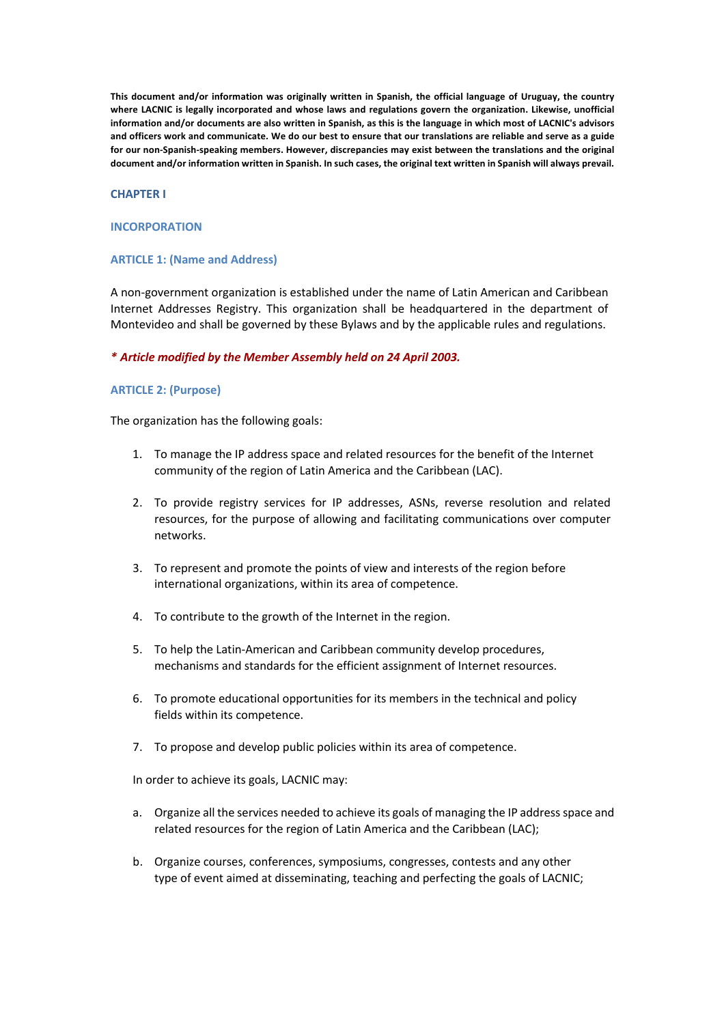**This document and/or information was originally written in Spanish, the official language of Uruguay, the country where LACNIC is legally incorporated and whose laws and regulations govern the organization. Likewise, unofficial information and/or documents are also written in Spanish, as this is the language in which most of LACNIC's advisors and officers work and communicate. We do our best to ensure that our translations are reliable and serve as a guide for our non-Spanish-speaking members. However, discrepancies may exist between the translations and the original document and/or information written in Spanish. In such cases, the original text written in Spanish will always prevail.**

#### **CHAPTER I**

#### **INCORPORATION**

## **ARTICLE 1: (Name and Address)**

A non-government organization is established under the name of Latin American and Caribbean Internet Addresses Registry. This organization shall be headquartered in the department of Montevideo and shall be governed by these Bylaws and by the applicable rules and regulations.

#### *\* Article modified by the Member Assembly held on 24 April 2003.*

#### **ARTICLE 2: (Purpose)**

The organization has the following goals:

- 1. To manage the IP address space and related resources for the benefit of the Internet community of the region of Latin America and the Caribbean (LAC).
- 2. To provide registry services for IP addresses, ASNs, reverse resolution and related resources, for the purpose of allowing and facilitating communications over computer networks.
- 3. To represent and promote the points of view and interests of the region before international organizations, within its area of competence.
- 4. To contribute to the growth of the Internet in the region.
- 5. To help the Latin-American and Caribbean community develop procedures, mechanisms and standards for the efficient assignment of Internet resources.
- 6. To promote educational opportunities for its members in the technical and policy fields within its competence.
- 7. To propose and develop public policies within its area of competence.

In order to achieve its goals, LACNIC may:

- a. Organize all the services needed to achieve its goals of managing the IP address space and related resources for the region of Latin America and the Caribbean (LAC);
- b. Organize courses, conferences, symposiums, congresses, contests and any other type of event aimed at disseminating, teaching and perfecting the goals of LACNIC;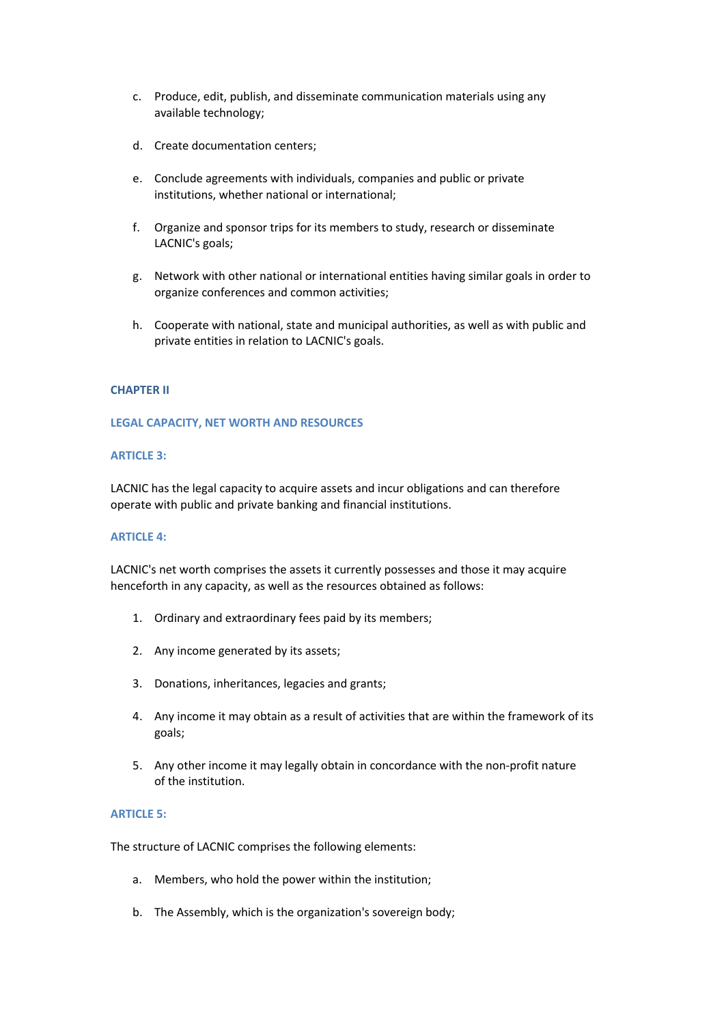- c. Produce, edit, publish, and disseminate communication materials using any available technology;
- d. Create documentation centers;
- e. Conclude agreements with individuals, companies and public or private institutions, whether national or international;
- f. Organize and sponsor trips for its members to study, research or disseminate LACNIC's goals;
- g. Network with other national or international entities having similar goals in order to organize conferences and common activities;
- h. Cooperate with national, state and municipal authorities, as well as with public and private entities in relation to LACNIC's goals.

## **CHAPTER II**

## **LEGAL CAPACITY, NET WORTH AND RESOURCES**

## **ARTICLE 3:**

LACNIC has the legal capacity to acquire assets and incur obligations and can therefore operate with public and private banking and financial institutions.

## **ARTICLE 4:**

LACNIC's net worth comprises the assets it currently possesses and those it may acquire henceforth in any capacity, as well as the resources obtained as follows:

- 1. Ordinary and extraordinary fees paid by its members;
- 2. Any income generated by its assets;
- 3. Donations, inheritances, legacies and grants;
- 4. Any income it may obtain as a result of activities that are within the framework of its goals;
- 5. Any other income it may legally obtain in concordance with the non-profit nature of the institution.

## **ARTICLE 5:**

The structure of LACNIC comprises the following elements:

- a. Members, who hold the power within the institution;
- b. The Assembly, which is the organization's sovereign body;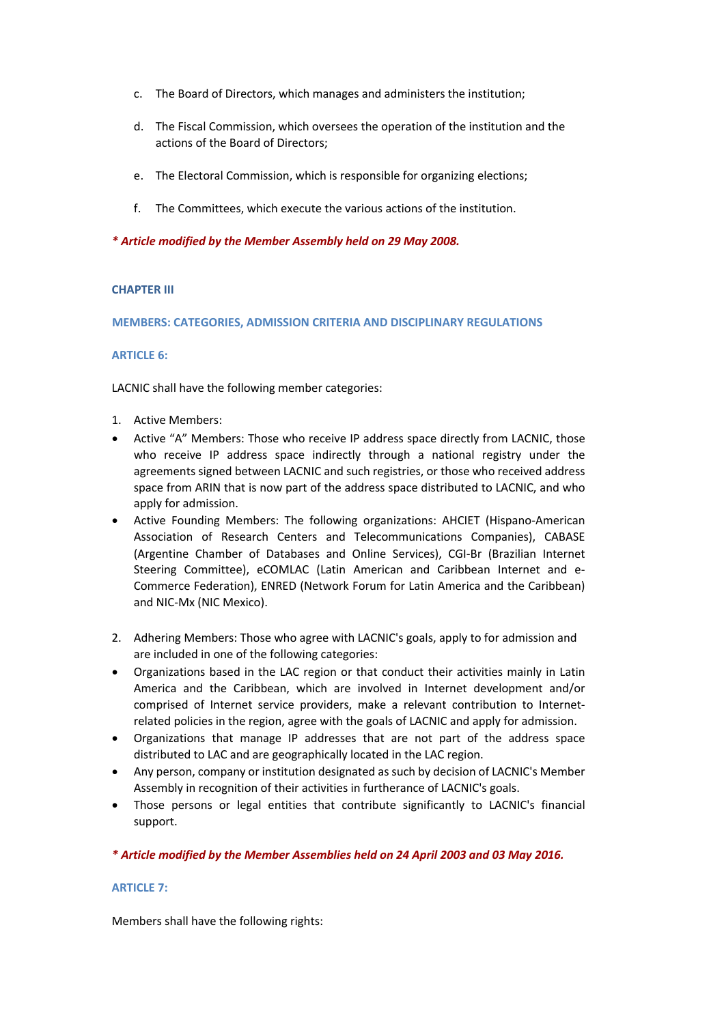- c. The Board of Directors, which manages and administers the institution;
- d. The Fiscal Commission, which oversees the operation of the institution and the actions of the Board of Directors;
- e. The Electoral Commission, which is responsible for organizing elections;
- f. The Committees, which execute the various actions of the institution.

## *\* Article modified by the Member Assembly held on 29 May 2008.*

## **CHAPTER III**

**MEMBERS: CATEGORIES, ADMISSION CRITERIA AND DISCIPLINARY REGULATIONS**

## **ARTICLE 6:**

LACNIC shall have the following member categories:

- 1. Active Members:
- Active "A" Members: Those who receive IP address space directly from LACNIC, those who receive IP address space indirectly through a national registry under the agreements signed between LACNIC and such registries, or those who received address space from ARIN that is now part of the address space distributed to LACNIC, and who apply for admission.
- Active Founding Members: The following organizations: AHCIET (Hispano-American Association of Research Centers and Telecommunications Companies), CABASE (Argentine Chamber of Databases and Online Services), CGI-Br (Brazilian Internet Steering Committee), eCOMLAC (Latin American and Caribbean Internet and e-Commerce Federation), ENRED (Network Forum for Latin America and the Caribbean) and NIC-Mx (NIC Mexico).
- 2. Adhering Members: Those who agree with LACNIC's goals, apply to for admission and are included in one of the following categories:
- Organizations based in the LAC region or that conduct their activities mainly in Latin America and the Caribbean, which are involved in Internet development and/or comprised of Internet service providers, make a relevant contribution to Internetrelated policies in the region, agree with the goals of LACNIC and apply for admission.
- Organizations that manage IP addresses that are not part of the address space distributed to LAC and are geographically located in the LAC region.
- Any person, company or institution designated as such by decision of LACNIC's Member Assembly in recognition of their activities in furtherance of LACNIC's goals.
- Those persons or legal entities that contribute significantly to LACNIC's financial support.

## *\* Article modified by the Member Assemblies held on 24 April 2003 and 03 May 2016.*

## **ARTICLE 7:**

Members shall have the following rights: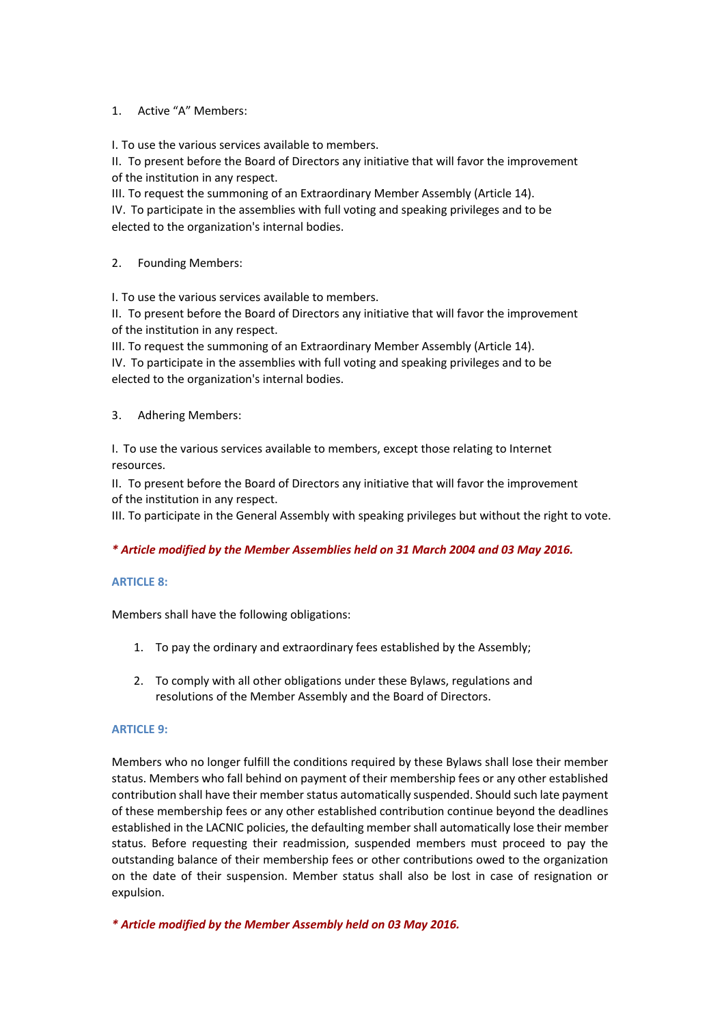# 1. Active "A" Members:

I. To use the various services available to members.

II. To present before the Board of Directors any initiative that will favor the improvement of the institution in any respect.

III. To request the summoning of an Extraordinary Member Assembly (Article 14).

IV. To participate in the assemblies with full voting and speaking privileges and to be elected to the organization's internal bodies.

# 2. Founding Members:

I. To use the various services available to members.

II. To present before the Board of Directors any initiative that will favor the improvement of the institution in any respect.

III. To request the summoning of an Extraordinary Member Assembly (Article 14).

IV. To participate in the assemblies with full voting and speaking privileges and to be elected to the organization's internal bodies.

3. Adhering Members:

I. To use the various services available to members, except those relating to Internet resources.

II. To present before the Board of Directors any initiative that will favor the improvement of the institution in any respect.

III. To participate in the General Assembly with speaking privileges but without the right to vote.

# *\* Article modified by the Member Assemblies held on 31 March 2004 and 03 May 2016.*

## **ARTICLE 8:**

Members shall have the following obligations:

- 1. To pay the ordinary and extraordinary fees established by the Assembly;
- 2. To comply with all other obligations under these Bylaws, regulations and resolutions of the Member Assembly and the Board of Directors.

# **ARTICLE 9:**

Members who no longer fulfill the conditions required by these Bylaws shall lose their member status. Members who fall behind on payment of their membership fees or any other established contribution shall have their member status automatically suspended. Should such late payment of these membership fees or any other established contribution continue beyond the deadlines established in the LACNIC policies, the defaulting member shall automatically lose their member status. Before requesting their readmission, suspended members must proceed to pay the outstanding balance of their membership fees or other contributions owed to the organization on the date of their suspension. Member status shall also be lost in case of resignation or expulsion.

*\* Article modified by the Member Assembly held on 03 May 2016.*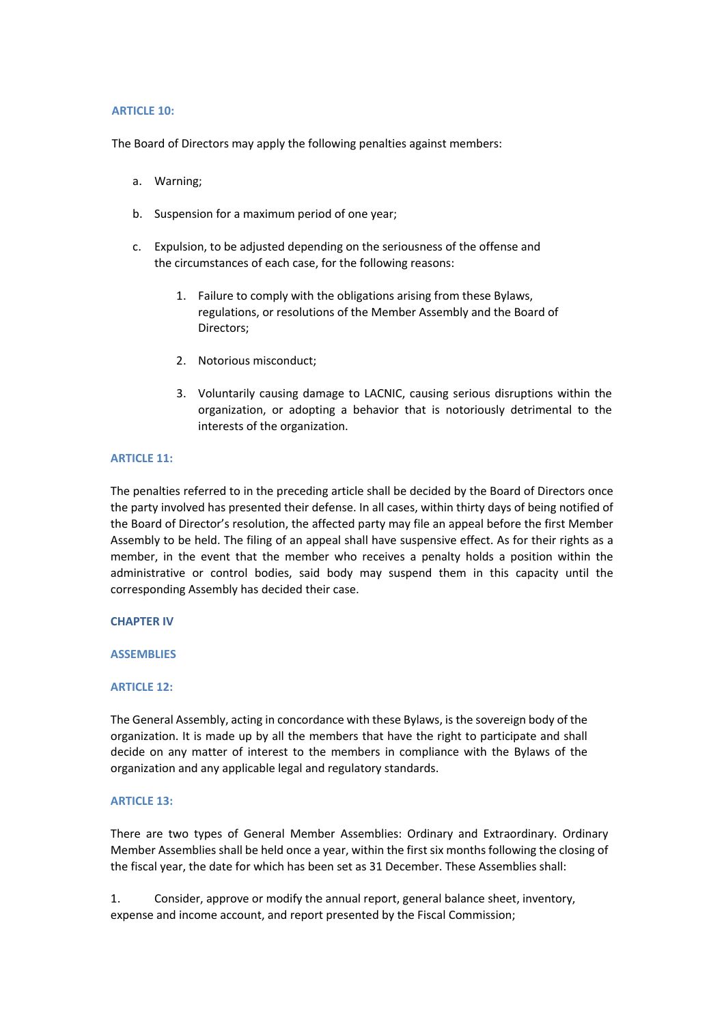#### **ARTICLE 10:**

The Board of Directors may apply the following penalties against members:

- a. Warning;
- b. Suspension for a maximum period of one year;
- c. Expulsion, to be adjusted depending on the seriousness of the offense and the circumstances of each case, for the following reasons:
	- 1. Failure to comply with the obligations arising from these Bylaws, regulations, or resolutions of the Member Assembly and the Board of Directors;
	- 2. Notorious misconduct;
	- 3. Voluntarily causing damage to LACNIC, causing serious disruptions within the organization, or adopting a behavior that is notoriously detrimental to the interests of the organization.

## **ARTICLE 11:**

The penalties referred to in the preceding article shall be decided by the Board of Directors once the party involved has presented their defense. In all cases, within thirty days of being notified of the Board of Director's resolution, the affected party may file an appeal before the first Member Assembly to be held. The filing of an appeal shall have suspensive effect. As for their rights as a member, in the event that the member who receives a penalty holds a position within the administrative or control bodies, said body may suspend them in this capacity until the corresponding Assembly has decided their case.

## **CHAPTER IV**

## **ASSEMBLIES**

## **ARTICLE 12:**

The General Assembly, acting in concordance with these Bylaws, is the sovereign body of the organization. It is made up by all the members that have the right to participate and shall decide on any matter of interest to the members in compliance with the Bylaws of the organization and any applicable legal and regulatory standards.

## **ARTICLE 13:**

There are two types of General Member Assemblies: Ordinary and Extraordinary. Ordinary Member Assemblies shall be held once a year, within the first six months following the closing of the fiscal year, the date for which has been set as 31 December. These Assemblies shall:

1. Consider, approve or modify the annual report, general balance sheet, inventory, expense and income account, and report presented by the Fiscal Commission;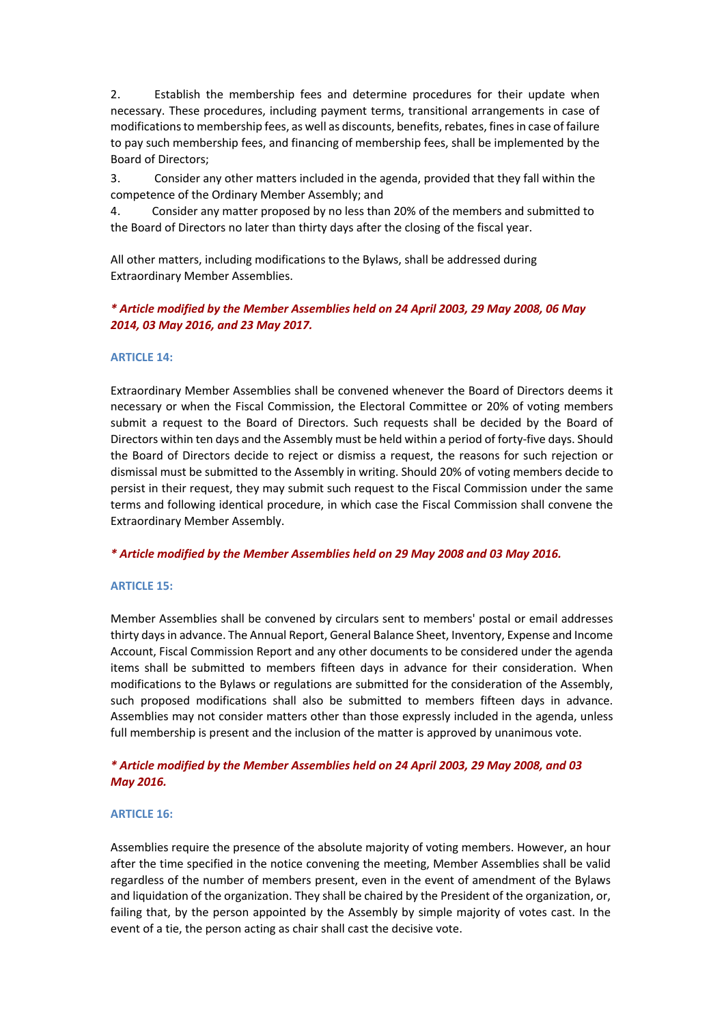2. Establish the membership fees and determine procedures for their update when necessary. These procedures, including payment terms, transitional arrangements in case of modifications to membership fees, as well as discounts, benefits, rebates, fines in case of failure to pay such membership fees, and financing of membership fees, shall be implemented by the Board of Directors;

3. Consider any other matters included in the agenda, provided that they fall within the competence of the Ordinary Member Assembly; and

4. Consider any matter proposed by no less than 20% of the members and submitted to the Board of Directors no later than thirty days after the closing of the fiscal year.

All other matters, including modifications to the Bylaws, shall be addressed during Extraordinary Member Assemblies.

# *\* Article modified by the Member Assemblies held on 24 April 2003, 29 May 2008, 06 May 2014, 03 May 2016, and 23 May 2017.*

## **ARTICLE 14:**

Extraordinary Member Assemblies shall be convened whenever the Board of Directors deems it necessary or when the Fiscal Commission, the Electoral Committee or 20% of voting members submit a request to the Board of Directors. Such requests shall be decided by the Board of Directors within ten days and the Assembly must be held within a period of forty-five days. Should the Board of Directors decide to reject or dismiss a request, the reasons for such rejection or dismissal must be submitted to the Assembly in writing. Should 20% of voting members decide to persist in their request, they may submit such request to the Fiscal Commission under the same terms and following identical procedure, in which case the Fiscal Commission shall convene the Extraordinary Member Assembly.

## *\* Article modified by the Member Assemblies held on 29 May 2008 and 03 May 2016.*

## **ARTICLE 15:**

Member Assemblies shall be convened by circulars sent to members' postal or email addresses thirty days in advance. The Annual Report, General Balance Sheet, Inventory, Expense and Income Account, Fiscal Commission Report and any other documents to be considered under the agenda items shall be submitted to members fifteen days in advance for their consideration. When modifications to the Bylaws or regulations are submitted for the consideration of the Assembly, such proposed modifications shall also be submitted to members fifteen days in advance. Assemblies may not consider matters other than those expressly included in the agenda, unless full membership is present and the inclusion of the matter is approved by unanimous vote.

# *\* Article modified by the Member Assemblies held on 24 April 2003, 29 May 2008, and 03 May 2016.*

#### **ARTICLE 16:**

Assemblies require the presence of the absolute majority of voting members. However, an hour after the time specified in the notice convening the meeting, Member Assemblies shall be valid regardless of the number of members present, even in the event of amendment of the Bylaws and liquidation of the organization. They shall be chaired by the President of the organization, or, failing that, by the person appointed by the Assembly by simple majority of votes cast. In the event of a tie, the person acting as chair shall cast the decisive vote.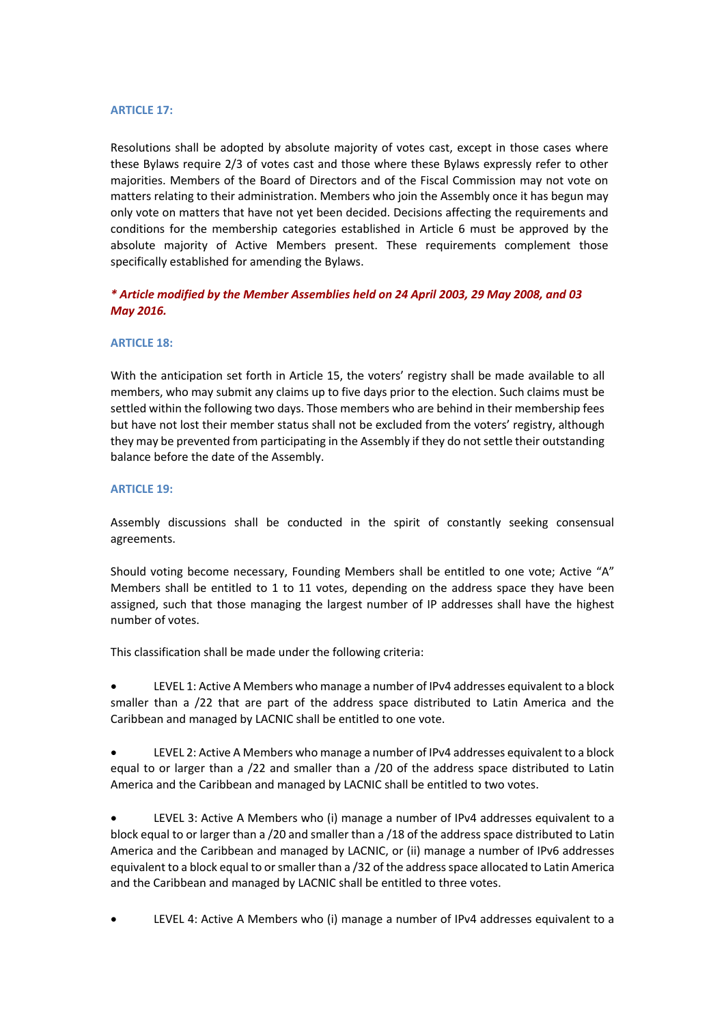## **ARTICLE 17:**

Resolutions shall be adopted by absolute majority of votes cast, except in those cases where these Bylaws require 2/3 of votes cast and those where these Bylaws expressly refer to other majorities. Members of the Board of Directors and of the Fiscal Commission may not vote on matters relating to their administration. Members who join the Assembly once it has begun may only vote on matters that have not yet been decided. Decisions affecting the requirements and conditions for the membership categories established in Article 6 must be approved by the absolute majority of Active Members present. These requirements complement those specifically established for amending the Bylaws.

# *\* Article modified by the Member Assemblies held on 24 April 2003, 29 May 2008, and 03 May 2016.*

## **ARTICLE 18:**

With the anticipation set forth in Article 15, the voters' registry shall be made available to all members, who may submit any claims up to five days prior to the election. Such claims must be settled within the following two days. Those members who are behind in their membership fees but have not lost their member status shall not be excluded from the voters' registry, although they may be prevented from participating in the Assembly if they do not settle their outstanding balance before the date of the Assembly.

## **ARTICLE 19:**

Assembly discussions shall be conducted in the spirit of constantly seeking consensual agreements.

Should voting become necessary, Founding Members shall be entitled to one vote; Active "A" Members shall be entitled to 1 to 11 votes, depending on the address space they have been assigned, such that those managing the largest number of IP addresses shall have the highest number of votes.

This classification shall be made under the following criteria:

• LEVEL 1: Active A Members who manage a number of IPv4 addresses equivalent to a block smaller than a /22 that are part of the address space distributed to Latin America and the Caribbean and managed by LACNIC shall be entitled to one vote.

• LEVEL 2: Active A Members who manage a number of IPv4 addresses equivalent to a block equal to or larger than a /22 and smaller than a /20 of the address space distributed to Latin America and the Caribbean and managed by LACNIC shall be entitled to two votes.

• LEVEL 3: Active A Members who (i) manage a number of IPv4 addresses equivalent to a block equal to or larger than a /20 and smaller than a /18 of the address space distributed to Latin America and the Caribbean and managed by LACNIC, or (ii) manage a number of IPv6 addresses equivalent to a block equal to or smaller than a /32 of the address space allocated to Latin America and the Caribbean and managed by LACNIC shall be entitled to three votes.

• LEVEL 4: Active A Members who (i) manage a number of IPv4 addresses equivalent to a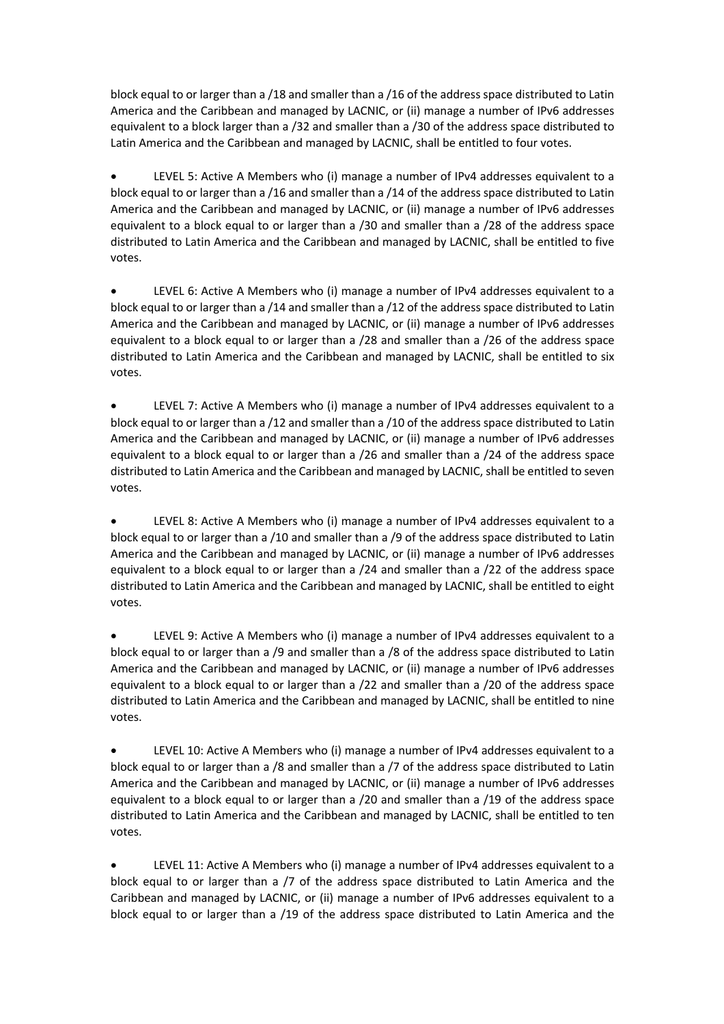block equal to or larger than a /18 and smaller than a /16 of the address space distributed to Latin America and the Caribbean and managed by LACNIC, or (ii) manage a number of IPv6 addresses equivalent to a block larger than a /32 and smaller than a /30 of the address space distributed to Latin America and the Caribbean and managed by LACNIC, shall be entitled to four votes.

• LEVEL 5: Active A Members who (i) manage a number of IPv4 addresses equivalent to a block equal to or larger than a /16 and smaller than a /14 of the address space distributed to Latin America and the Caribbean and managed by LACNIC, or (ii) manage a number of IPv6 addresses equivalent to a block equal to or larger than a /30 and smaller than a /28 of the address space distributed to Latin America and the Caribbean and managed by LACNIC, shall be entitled to five votes.

• LEVEL 6: Active A Members who (i) manage a number of IPv4 addresses equivalent to a block equal to or larger than a /14 and smaller than a /12 of the address space distributed to Latin America and the Caribbean and managed by LACNIC, or (ii) manage a number of IPv6 addresses equivalent to a block equal to or larger than a /28 and smaller than a /26 of the address space distributed to Latin America and the Caribbean and managed by LACNIC, shall be entitled to six votes.

• LEVEL 7: Active A Members who (i) manage a number of IPv4 addresses equivalent to a block equal to or larger than a /12 and smaller than a /10 of the address space distributed to Latin America and the Caribbean and managed by LACNIC, or (ii) manage a number of IPv6 addresses equivalent to a block equal to or larger than a /26 and smaller than a /24 of the address space distributed to Latin America and the Caribbean and managed by LACNIC, shall be entitled to seven votes.

• LEVEL 8: Active A Members who (i) manage a number of IPv4 addresses equivalent to a block equal to or larger than a /10 and smaller than a /9 of the address space distributed to Latin America and the Caribbean and managed by LACNIC, or (ii) manage a number of IPv6 addresses equivalent to a block equal to or larger than a /24 and smaller than a /22 of the address space distributed to Latin America and the Caribbean and managed by LACNIC, shall be entitled to eight votes.

• LEVEL 9: Active A Members who (i) manage a number of IPv4 addresses equivalent to a block equal to or larger than a /9 and smaller than a /8 of the address space distributed to Latin America and the Caribbean and managed by LACNIC, or (ii) manage a number of IPv6 addresses equivalent to a block equal to or larger than a /22 and smaller than a /20 of the address space distributed to Latin America and the Caribbean and managed by LACNIC, shall be entitled to nine votes.

LEVEL 10: Active A Members who (i) manage a number of IPv4 addresses equivalent to a block equal to or larger than a /8 and smaller than a /7 of the address space distributed to Latin America and the Caribbean and managed by LACNIC, or (ii) manage a number of IPv6 addresses equivalent to a block equal to or larger than a /20 and smaller than a /19 of the address space distributed to Latin America and the Caribbean and managed by LACNIC, shall be entitled to ten votes.

• LEVEL 11: Active A Members who (i) manage a number of IPv4 addresses equivalent to a block equal to or larger than a /7 of the address space distributed to Latin America and the Caribbean and managed by LACNIC, or (ii) manage a number of IPv6 addresses equivalent to a block equal to or larger than a /19 of the address space distributed to Latin America and the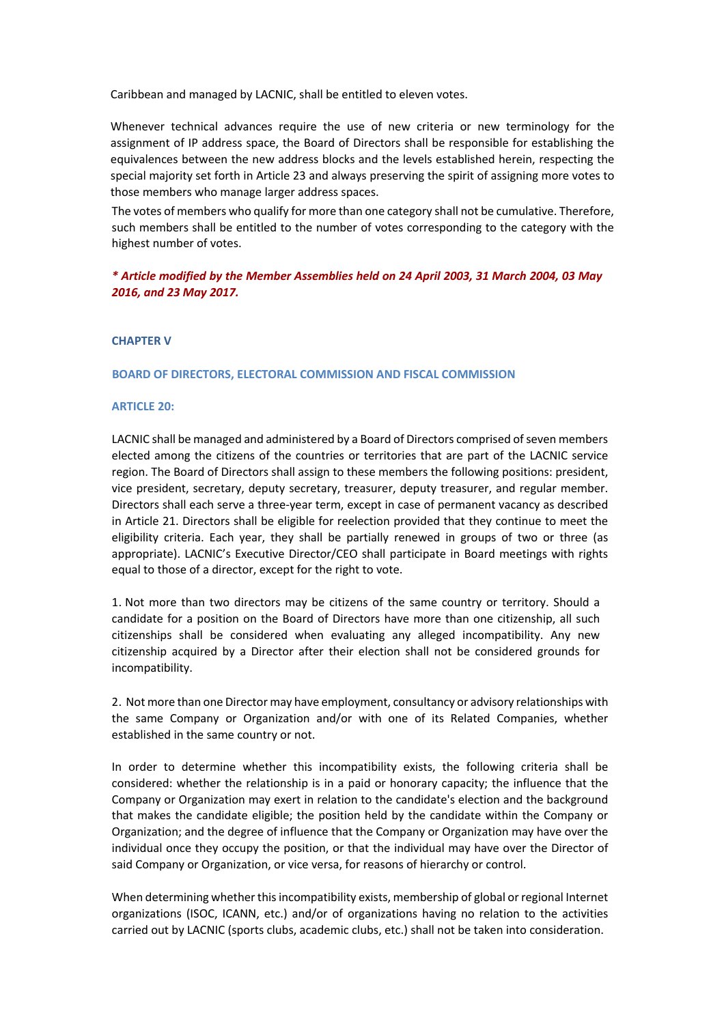Caribbean and managed by LACNIC, shall be entitled to eleven votes.

Whenever technical advances require the use of new criteria or new terminology for the assignment of IP address space, the Board of Directors shall be responsible for establishing the equivalences between the new address blocks and the levels established herein, respecting the special majority set forth in Article 23 and always preserving the spirit of assigning more votes to those members who manage larger address spaces.

The votes of members who qualify for more than one category shall not be cumulative. Therefore, such members shall be entitled to the number of votes corresponding to the category with the highest number of votes.

## *\* Article modified by the Member Assemblies held on 24 April 2003, 31 March 2004, 03 May 2016, and 23 May 2017.*

### **CHAPTER V**

#### **BOARD OF DIRECTORS, ELECTORAL COMMISSION AND FISCAL COMMISSION**

### **ARTICLE 20:**

LACNIC shall be managed and administered by a Board of Directors comprised of seven members elected among the citizens of the countries or territories that are part of the LACNIC service region. The Board of Directors shall assign to these members the following positions: president, vice president, secretary, deputy secretary, treasurer, deputy treasurer, and regular member. Directors shall each serve a three-year term, except in case of permanent vacancy as described in Article 21. Directors shall be eligible for reelection provided that they continue to meet the eligibility criteria. Each year, they shall be partially renewed in groups of two or three (as appropriate). LACNIC's Executive Director/CEO shall participate in Board meetings with rights equal to those of a director, except for the right to vote.

1. Not more than two directors may be citizens of the same country or territory. Should a candidate for a position on the Board of Directors have more than one citizenship, all such citizenships shall be considered when evaluating any alleged incompatibility. Any new citizenship acquired by a Director after their election shall not be considered grounds for incompatibility.

2. Not more than one Director may have employment, consultancy or advisory relationships with the same Company or Organization and/or with one of its Related Companies, whether established in the same country or not.

In order to determine whether this incompatibility exists, the following criteria shall be considered: whether the relationship is in a paid or honorary capacity; the influence that the Company or Organization may exert in relation to the candidate's election and the background that makes the candidate eligible; the position held by the candidate within the Company or Organization; and the degree of influence that the Company or Organization may have over the individual once they occupy the position, or that the individual may have over the Director of said Company or Organization, or vice versa, for reasons of hierarchy or control.

When determining whether this incompatibility exists, membership of global or regional Internet organizations (ISOC, ICANN, etc.) and/or of organizations having no relation to the activities carried out by LACNIC (sports clubs, academic clubs, etc.) shall not be taken into consideration.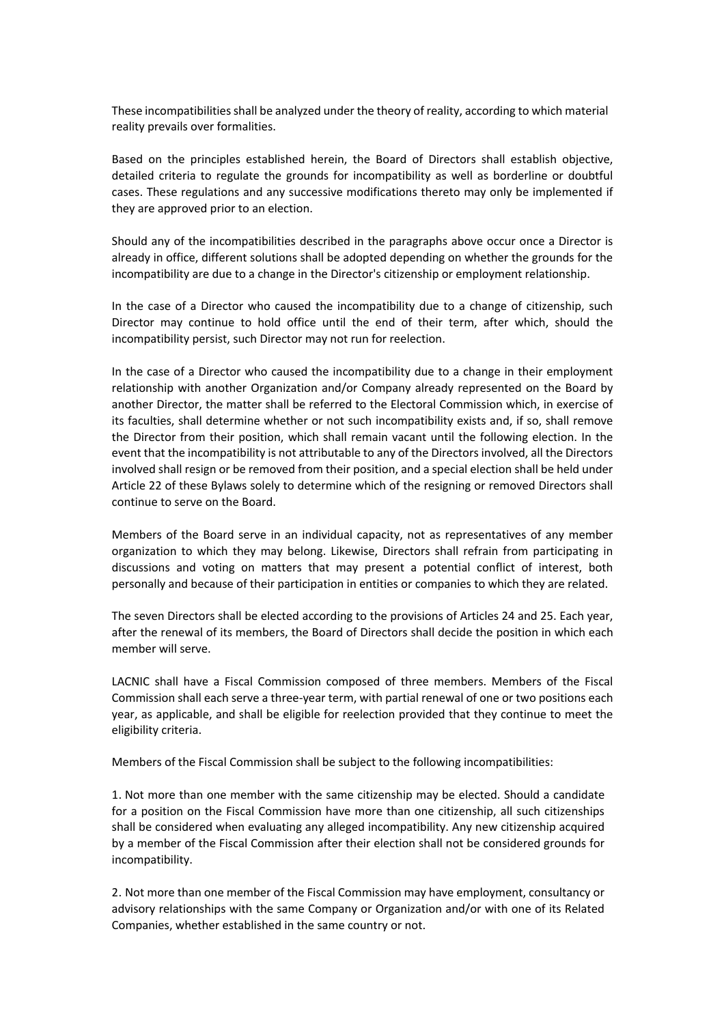These incompatibilities shall be analyzed under the theory of reality, according to which material reality prevails over formalities.

Based on the principles established herein, the Board of Directors shall establish objective, detailed criteria to regulate the grounds for incompatibility as well as borderline or doubtful cases. These regulations and any successive modifications thereto may only be implemented if they are approved prior to an election.

Should any of the incompatibilities described in the paragraphs above occur once a Director is already in office, different solutions shall be adopted depending on whether the grounds for the incompatibility are due to a change in the Director's citizenship or employment relationship.

In the case of a Director who caused the incompatibility due to a change of citizenship, such Director may continue to hold office until the end of their term, after which, should the incompatibility persist, such Director may not run for reelection.

In the case of a Director who caused the incompatibility due to a change in their employment relationship with another Organization and/or Company already represented on the Board by another Director, the matter shall be referred to the Electoral Commission which, in exercise of its faculties, shall determine whether or not such incompatibility exists and, if so, shall remove the Director from their position, which shall remain vacant until the following election. In the event that the incompatibility is not attributable to any of the Directors involved, all the Directors involved shall resign or be removed from their position, and a special election shall be held under Article 22 of these Bylaws solely to determine which of the resigning or removed Directors shall continue to serve on the Board.

Members of the Board serve in an individual capacity, not as representatives of any member organization to which they may belong. Likewise, Directors shall refrain from participating in discussions and voting on matters that may present a potential conflict of interest, both personally and because of their participation in entities or companies to which they are related.

The seven Directors shall be elected according to the provisions of Articles 24 and 25. Each year, after the renewal of its members, the Board of Directors shall decide the position in which each member will serve.

LACNIC shall have a Fiscal Commission composed of three members. Members of the Fiscal Commission shall each serve a three-year term, with partial renewal of one or two positions each year, as applicable, and shall be eligible for reelection provided that they continue to meet the eligibility criteria.

Members of the Fiscal Commission shall be subject to the following incompatibilities:

1. Not more than one member with the same citizenship may be elected. Should a candidate for a position on the Fiscal Commission have more than one citizenship, all such citizenships shall be considered when evaluating any alleged incompatibility. Any new citizenship acquired by a member of the Fiscal Commission after their election shall not be considered grounds for incompatibility.

2. Not more than one member of the Fiscal Commission may have employment, consultancy or advisory relationships with the same Company or Organization and/or with one of its Related Companies, whether established in the same country or not.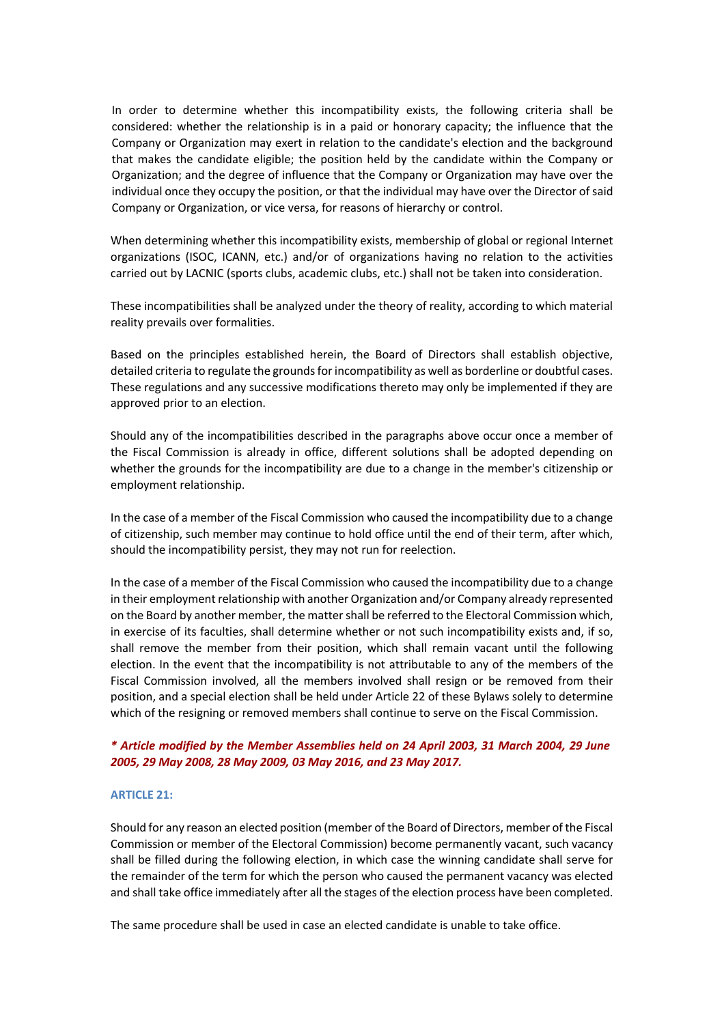In order to determine whether this incompatibility exists, the following criteria shall be considered: whether the relationship is in a paid or honorary capacity; the influence that the Company or Organization may exert in relation to the candidate's election and the background that makes the candidate eligible; the position held by the candidate within the Company or Organization; and the degree of influence that the Company or Organization may have over the individual once they occupy the position, or that the individual may have over the Director of said Company or Organization, or vice versa, for reasons of hierarchy or control.

When determining whether this incompatibility exists, membership of global or regional Internet organizations (ISOC, ICANN, etc.) and/or of organizations having no relation to the activities carried out by LACNIC (sports clubs, academic clubs, etc.) shall not be taken into consideration.

These incompatibilities shall be analyzed under the theory of reality, according to which material reality prevails over formalities.

Based on the principles established herein, the Board of Directors shall establish objective, detailed criteria to regulate the grounds for incompatibility as well as borderline or doubtful cases. These regulations and any successive modifications thereto may only be implemented if they are approved prior to an election.

Should any of the incompatibilities described in the paragraphs above occur once a member of the Fiscal Commission is already in office, different solutions shall be adopted depending on whether the grounds for the incompatibility are due to a change in the member's citizenship or employment relationship.

In the case of a member of the Fiscal Commission who caused the incompatibility due to a change of citizenship, such member may continue to hold office until the end of their term, after which, should the incompatibility persist, they may not run for reelection.

In the case of a member of the Fiscal Commission who caused the incompatibility due to a change in their employment relationship with another Organization and/or Company already represented on the Board by another member, the matter shall be referred to the Electoral Commission which, in exercise of its faculties, shall determine whether or not such incompatibility exists and, if so, shall remove the member from their position, which shall remain vacant until the following election. In the event that the incompatibility is not attributable to any of the members of the Fiscal Commission involved, all the members involved shall resign or be removed from their position, and a special election shall be held under Article 22 of these Bylaws solely to determine which of the resigning or removed members shall continue to serve on the Fiscal Commission.

## *\* Article modified by the Member Assemblies held on 24 April 2003, 31 March 2004, 29 June 2005, 29 May 2008, 28 May 2009, 03 May 2016, and 23 May 2017.*

#### **ARTICLE 21:**

Should for any reason an elected position (member of the Board of Directors, member of the Fiscal Commission or member of the Electoral Commission) become permanently vacant, such vacancy shall be filled during the following election, in which case the winning candidate shall serve for the remainder of the term for which the person who caused the permanent vacancy was elected and shall take office immediately after all the stages of the election process have been completed.

The same procedure shall be used in case an elected candidate is unable to take office.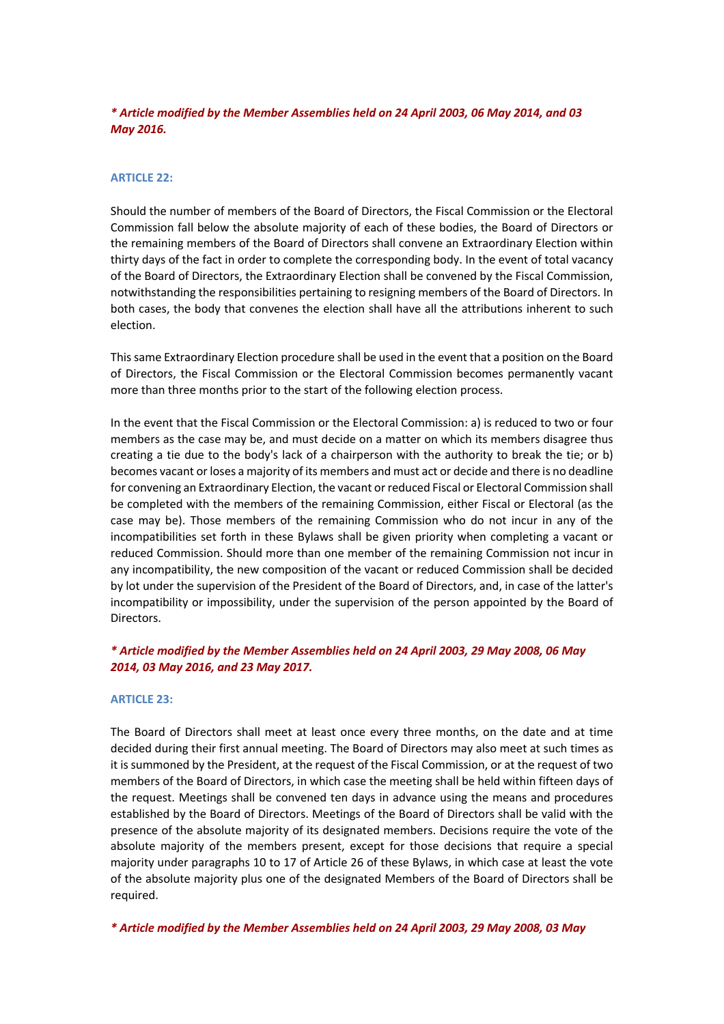# *\* Article modified by the Member Assemblies held on 24 April 2003, 06 May 2014, and 03 May 2016.*

## **ARTICLE 22:**

Should the number of members of the Board of Directors, the Fiscal Commission or the Electoral Commission fall below the absolute majority of each of these bodies, the Board of Directors or the remaining members of the Board of Directors shall convene an Extraordinary Election within thirty days of the fact in order to complete the corresponding body. In the event of total vacancy of the Board of Directors, the Extraordinary Election shall be convened by the Fiscal Commission, notwithstanding the responsibilities pertaining to resigning members of the Board of Directors. In both cases, the body that convenes the election shall have all the attributions inherent to such election.

This same Extraordinary Election procedure shall be used in the event that a position on the Board of Directors, the Fiscal Commission or the Electoral Commission becomes permanently vacant more than three months prior to the start of the following election process.

In the event that the Fiscal Commission or the Electoral Commission: a) is reduced to two or four members as the case may be, and must decide on a matter on which its members disagree thus creating a tie due to the body's lack of a chairperson with the authority to break the tie; or b) becomes vacant or loses a majority of its members and must act or decide and there is no deadline for convening an Extraordinary Election, the vacant or reduced Fiscal or Electoral Commission shall be completed with the members of the remaining Commission, either Fiscal or Electoral (as the case may be). Those members of the remaining Commission who do not incur in any of the incompatibilities set forth in these Bylaws shall be given priority when completing a vacant or reduced Commission. Should more than one member of the remaining Commission not incur in any incompatibility, the new composition of the vacant or reduced Commission shall be decided by lot under the supervision of the President of the Board of Directors, and, in case of the latter's incompatibility or impossibility, under the supervision of the person appointed by the Board of Directors.

## *\* Article modified by the Member Assemblies held on 24 April 2003, 29 May 2008, 06 May 2014, 03 May 2016, and 23 May 2017.*

#### **ARTICLE 23:**

The Board of Directors shall meet at least once every three months, on the date and at time decided during their first annual meeting. The Board of Directors may also meet at such times as it is summoned by the President, at the request of the Fiscal Commission, or at the request of two members of the Board of Directors, in which case the meeting shall be held within fifteen days of the request. Meetings shall be convened ten days in advance using the means and procedures established by the Board of Directors. Meetings of the Board of Directors shall be valid with the presence of the absolute majority of its designated members. Decisions require the vote of the absolute majority of the members present, except for those decisions that require a special majority under paragraphs 10 to 17 of Article 26 of these Bylaws, in which case at least the vote of the absolute majority plus one of the designated Members of the Board of Directors shall be required.

*\* Article modified by the Member Assemblies held on 24 April 2003, 29 May 2008, 03 May*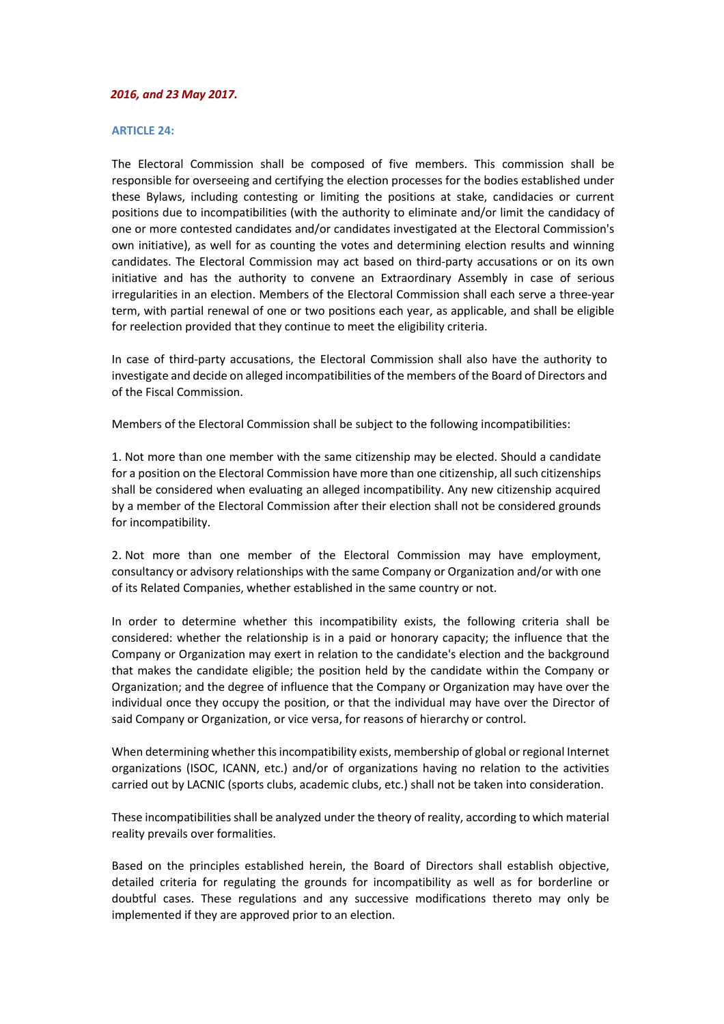#### *2016, and 23 May 2017.*

#### **ARTICLE 24:**

The Electoral Commission shall be composed of five members. This commission shall be responsible for overseeing and certifying the election processes for the bodies established under these Bylaws, including contesting or limiting the positions at stake, candidacies or current positions due to incompatibilities (with the authority to eliminate and/or limit the candidacy of one or more contested candidates and/or candidates investigated at the Electoral Commission's own initiative), as well for as counting the votes and determining election results and winning candidates. The Electoral Commission may act based on third-party accusations or on its own initiative and has the authority to convene an Extraordinary Assembly in case of serious irregularities in an election. Members of the Electoral Commission shall each serve a three-year term, with partial renewal of one or two positions each year, as applicable, and shall be eligible for reelection provided that they continue to meet the eligibility criteria.

In case of third-party accusations, the Electoral Commission shall also have the authority to investigate and decide on alleged incompatibilities of the members of the Board of Directors and of the Fiscal Commission.

Members of the Electoral Commission shall be subject to the following incompatibilities:

1. Not more than one member with the same citizenship may be elected. Should a candidate for a position on the Electoral Commission have more than one citizenship, all such citizenships shall be considered when evaluating an alleged incompatibility. Any new citizenship acquired by a member of the Electoral Commission after their election shall not be considered grounds for incompatibility.

2. Not more than one member of the Electoral Commission may have employment, consultancy or advisory relationships with the same Company or Organization and/or with one of its Related Companies, whether established in the same country or not.

In order to determine whether this incompatibility exists, the following criteria shall be considered: whether the relationship is in a paid or honorary capacity; the influence that the Company or Organization may exert in relation to the candidate's election and the background that makes the candidate eligible; the position held by the candidate within the Company or Organization; and the degree of influence that the Company or Organization may have over the individual once they occupy the position, or that the individual may have over the Director of said Company or Organization, or vice versa, for reasons of hierarchy or control.

When determining whether this incompatibility exists, membership of global or regional Internet organizations (ISOC, ICANN, etc.) and/or of organizations having no relation to the activities carried out by LACNIC (sports clubs, academic clubs, etc.) shall not be taken into consideration.

These incompatibilities shall be analyzed under the theory of reality, according to which material reality prevails over formalities.

Based on the principles established herein, the Board of Directors shall establish objective, detailed criteria for regulating the grounds for incompatibility as well as for borderline or doubtful cases. These regulations and any successive modifications thereto may only be implemented if they are approved prior to an election.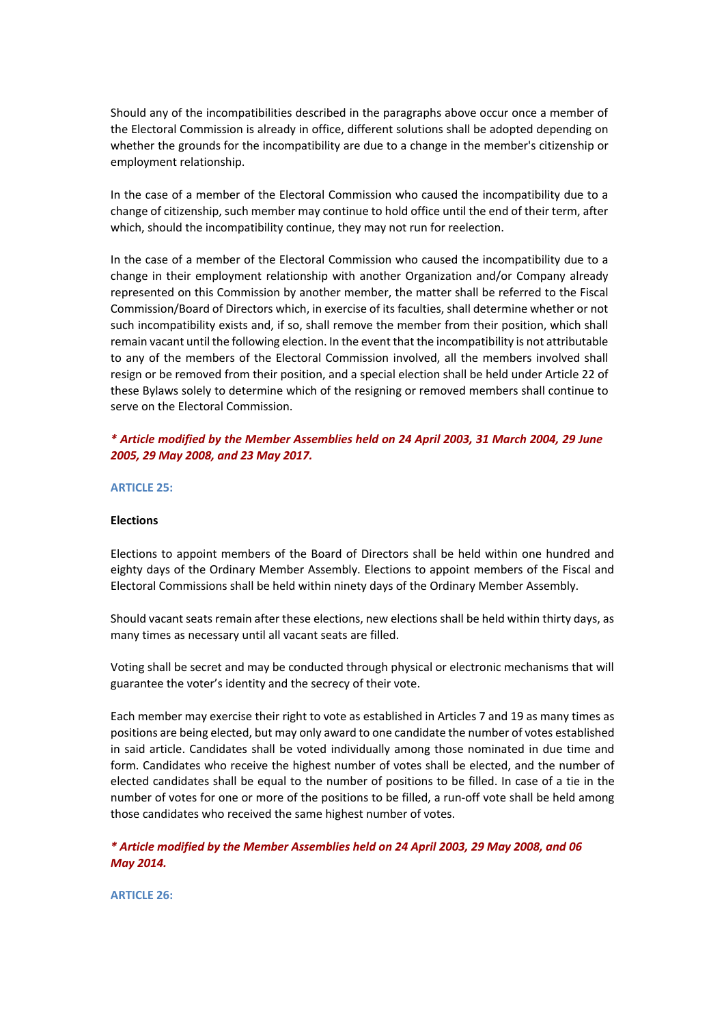Should any of the incompatibilities described in the paragraphs above occur once a member of the Electoral Commission is already in office, different solutions shall be adopted depending on whether the grounds for the incompatibility are due to a change in the member's citizenship or employment relationship.

In the case of a member of the Electoral Commission who caused the incompatibility due to a change of citizenship, such member may continue to hold office until the end of their term, after which, should the incompatibility continue, they may not run for reelection.

In the case of a member of the Electoral Commission who caused the incompatibility due to a change in their employment relationship with another Organization and/or Company already represented on this Commission by another member, the matter shall be referred to the Fiscal Commission/Board of Directors which, in exercise of its faculties, shall determine whether or not such incompatibility exists and, if so, shall remove the member from their position, which shall remain vacant until the following election. In the event that the incompatibility is not attributable to any of the members of the Electoral Commission involved, all the members involved shall resign or be removed from their position, and a special election shall be held under Article 22 of these Bylaws solely to determine which of the resigning or removed members shall continue to serve on the Electoral Commission.

# *\* Article modified by the Member Assemblies held on 24 April 2003, 31 March 2004, 29 June 2005, 29 May 2008, and 23 May 2017.*

#### **ARTICLE 25:**

#### **Elections**

Elections to appoint members of the Board of Directors shall be held within one hundred and eighty days of the Ordinary Member Assembly. Elections to appoint members of the Fiscal and Electoral Commissions shall be held within ninety days of the Ordinary Member Assembly.

Should vacant seats remain after these elections, new elections shall be held within thirty days, as many times as necessary until all vacant seats are filled.

Voting shall be secret and may be conducted through physical or electronic mechanisms that will guarantee the voter's identity and the secrecy of their vote.

Each member may exercise their right to vote as established in Articles 7 and 19 as many times as positions are being elected, but may only award to one candidate the number of votes established in said article. Candidates shall be voted individually among those nominated in due time and form. Candidates who receive the highest number of votes shall be elected, and the number of elected candidates shall be equal to the number of positions to be filled. In case of a tie in the number of votes for one or more of the positions to be filled, a run-off vote shall be held among those candidates who received the same highest number of votes.

*\* Article modified by the Member Assemblies held on 24 April 2003, 29 May 2008, and 06 May 2014.*

**ARTICLE 26:**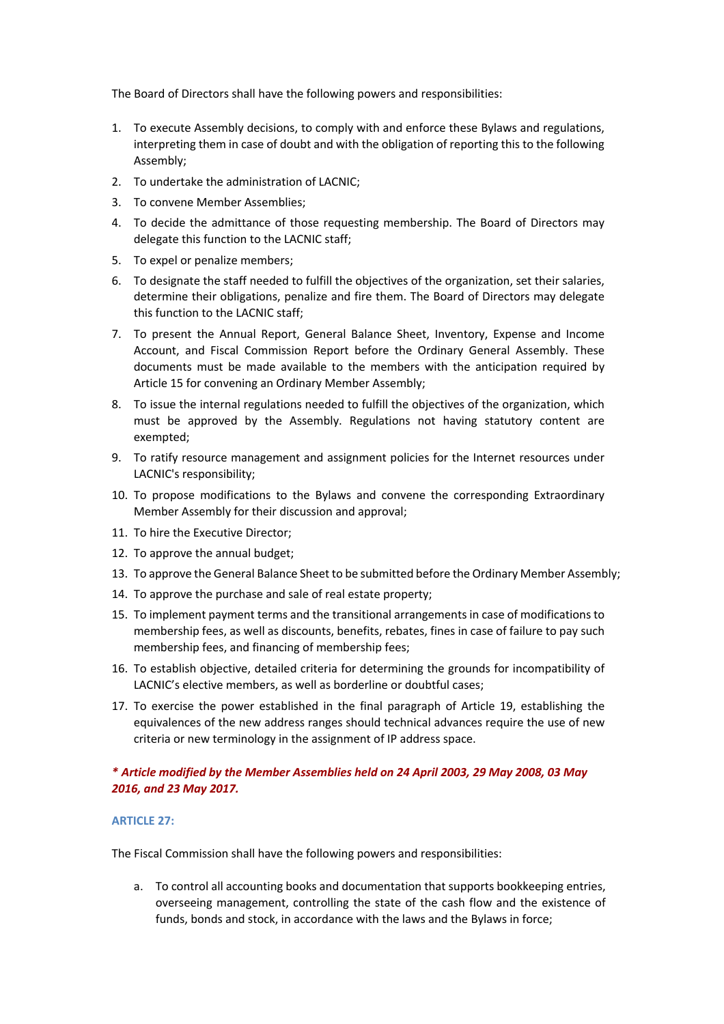The Board of Directors shall have the following powers and responsibilities:

- 1. To execute Assembly decisions, to comply with and enforce these Bylaws and regulations, interpreting them in case of doubt and with the obligation of reporting this to the following Assembly;
- 2. To undertake the administration of LACNIC;
- 3. To convene Member Assemblies;
- 4. To decide the admittance of those requesting membership. The Board of Directors may delegate this function to the LACNIC staff;
- 5. To expel or penalize members;
- 6. To designate the staff needed to fulfill the objectives of the organization, set their salaries, determine their obligations, penalize and fire them. The Board of Directors may delegate this function to the LACNIC staff;
- 7. To present the Annual Report, General Balance Sheet, Inventory, Expense and Income Account, and Fiscal Commission Report before the Ordinary General Assembly. These documents must be made available to the members with the anticipation required by Article 15 for convening an Ordinary Member Assembly;
- 8. To issue the internal regulations needed to fulfill the objectives of the organization, which must be approved by the Assembly. Regulations not having statutory content are exempted;
- 9. To ratify resource management and assignment policies for the Internet resources under LACNIC's responsibility;
- 10. To propose modifications to the Bylaws and convene the corresponding Extraordinary Member Assembly for their discussion and approval;
- 11. To hire the Executive Director;
- 12. To approve the annual budget;
- 13. To approve the General Balance Sheet to be submitted before the Ordinary Member Assembly;
- 14. To approve the purchase and sale of real estate property;
- 15. To implement payment terms and the transitional arrangements in case of modifications to membership fees, as well as discounts, benefits, rebates, fines in case of failure to pay such membership fees, and financing of membership fees;
- 16. To establish objective, detailed criteria for determining the grounds for incompatibility of LACNIC's elective members, as well as borderline or doubtful cases;
- 17. To exercise the power established in the final paragraph of Article 19, establishing the equivalences of the new address ranges should technical advances require the use of new criteria or new terminology in the assignment of IP address space.

# *\* Article modified by the Member Assemblies held on 24 April 2003, 29 May 2008, 03 May 2016, and 23 May 2017.*

# **ARTICLE 27:**

The Fiscal Commission shall have the following powers and responsibilities:

a. To control all accounting books and documentation that supports bookkeeping entries, overseeing management, controlling the state of the cash flow and the existence of funds, bonds and stock, in accordance with the laws and the Bylaws in force;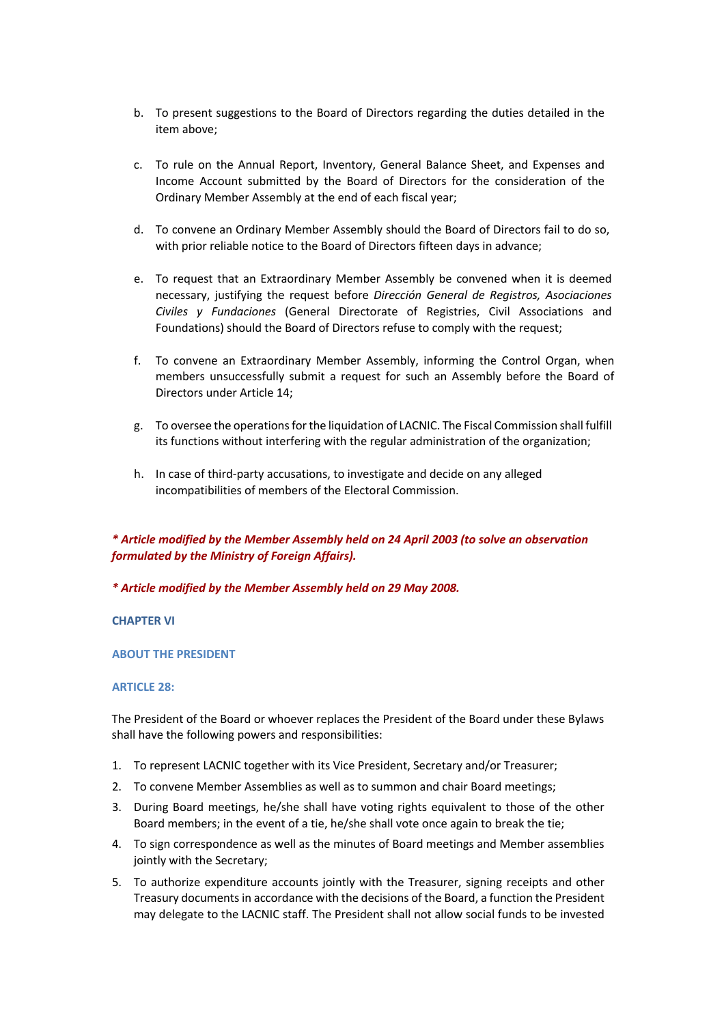- b. To present suggestions to the Board of Directors regarding the duties detailed in the item above;
- c. To rule on the Annual Report, Inventory, General Balance Sheet, and Expenses and Income Account submitted by the Board of Directors for the consideration of the Ordinary Member Assembly at the end of each fiscal year;
- d. To convene an Ordinary Member Assembly should the Board of Directors fail to do so, with prior reliable notice to the Board of Directors fifteen days in advance;
- e. To request that an Extraordinary Member Assembly be convened when it is deemed necessary, justifying the request before *Dirección General de Registros, Asociaciones Civiles y Fundaciones* (General Directorate of Registries, Civil Associations and Foundations) should the Board of Directors refuse to comply with the request;
- f. To convene an Extraordinary Member Assembly, informing the Control Organ, when members unsuccessfully submit a request for such an Assembly before the Board of Directors under Article 14;
- g. To oversee the operations for the liquidation of LACNIC. The Fiscal Commission shall fulfill its functions without interfering with the regular administration of the organization;
- h. In case of third-party accusations, to investigate and decide on any alleged incompatibilities of members of the Electoral Commission.

# *\* Article modified by the Member Assembly held on 24 April 2003 (to solve an observation formulated by the Ministry of Foreign Affairs).*

## *\* Article modified by the Member Assembly held on 29 May 2008.*

## **CHAPTER VI**

## **ABOUT THE PRESIDENT**

## **ARTICLE 28:**

The President of the Board or whoever replaces the President of the Board under these Bylaws shall have the following powers and responsibilities:

- 1. To represent LACNIC together with its Vice President, Secretary and/or Treasurer;
- 2. To convene Member Assemblies as well as to summon and chair Board meetings;
- 3. During Board meetings, he/she shall have voting rights equivalent to those of the other Board members; in the event of a tie, he/she shall vote once again to break the tie;
- 4. To sign correspondence as well as the minutes of Board meetings and Member assemblies jointly with the Secretary;
- 5. To authorize expenditure accounts jointly with the Treasurer, signing receipts and other Treasury documents in accordance with the decisions of the Board, a function the President may delegate to the LACNIC staff. The President shall not allow social funds to be invested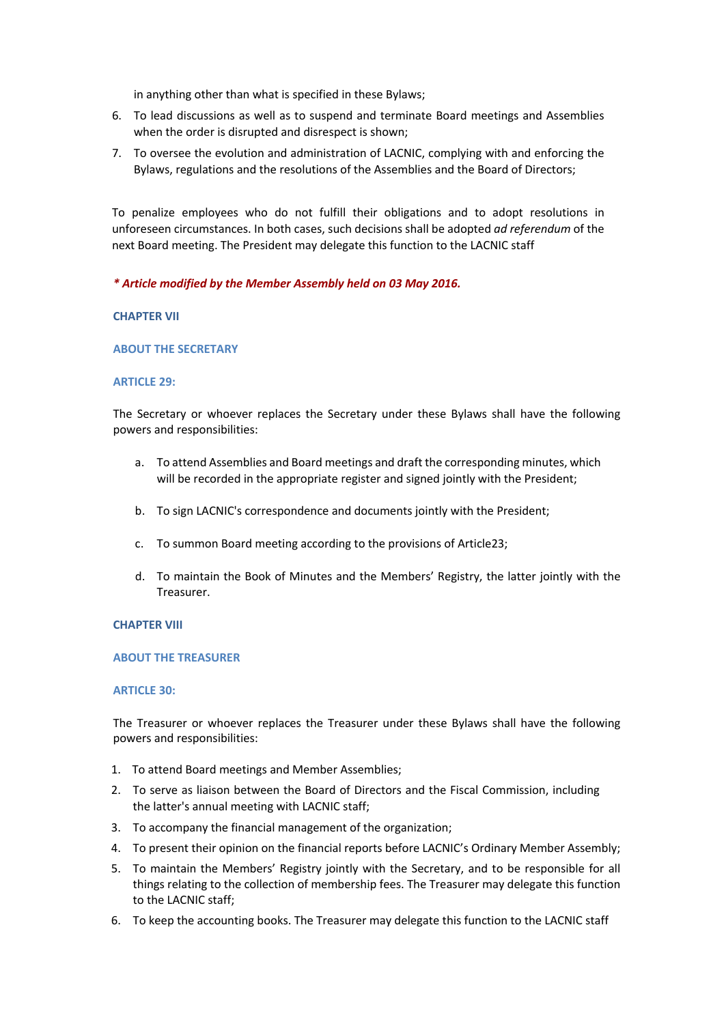in anything other than what is specified in these Bylaws;

- 6. To lead discussions as well as to suspend and terminate Board meetings and Assemblies when the order is disrupted and disrespect is shown;
- 7. To oversee the evolution and administration of LACNIC, complying with and enforcing the Bylaws, regulations and the resolutions of the Assemblies and the Board of Directors;

To penalize employees who do not fulfill their obligations and to adopt resolutions in unforeseen circumstances. In both cases, such decisions shall be adopted *ad referendum* of the next Board meeting. The President may delegate this function to the LACNIC staff

## *\* Article modified by the Member Assembly held on 03 May 2016.*

## **CHAPTER VII**

## **ABOUT THE SECRETARY**

## **ARTICLE 29:**

The Secretary or whoever replaces the Secretary under these Bylaws shall have the following powers and responsibilities:

- a. To attend Assemblies and Board meetings and draft the corresponding minutes, which will be recorded in the appropriate register and signed jointly with the President;
- b. To sign LACNIC's correspondence and documents jointly with the President;
- c. To summon Board meeting according to the provisions of Article23;
- d. To maintain the Book of Minutes and the Members' Registry, the latter jointly with the Treasurer.

## **CHAPTER VIII**

## **ABOUT THE TREASURER**

## **ARTICLE 30:**

The Treasurer or whoever replaces the Treasurer under these Bylaws shall have the following powers and responsibilities:

- 1. To attend Board meetings and Member Assemblies;
- 2. To serve as liaison between the Board of Directors and the Fiscal Commission, including the latter's annual meeting with LACNIC staff;
- 3. To accompany the financial management of the organization;
- 4. To present their opinion on the financial reports before LACNIC's Ordinary Member Assembly;
- 5. To maintain the Members' Registry jointly with the Secretary, and to be responsible for all things relating to the collection of membership fees. The Treasurer may delegate this function to the LACNIC staff;
- 6. To keep the accounting books. The Treasurer may delegate this function to the LACNIC staff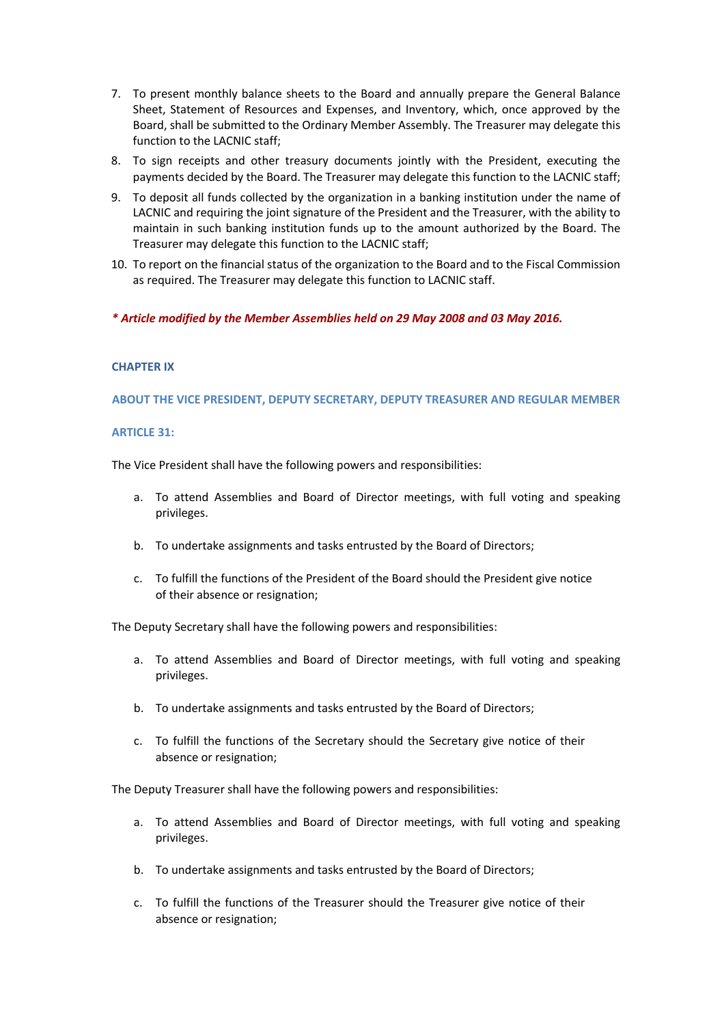- 7. To present monthly balance sheets to the Board and annually prepare the General Balance Sheet, Statement of Resources and Expenses, and Inventory, which, once approved by the Board, shall be submitted to the Ordinary Member Assembly. The Treasurer may delegate this function to the LACNIC staff;
- 8. To sign receipts and other treasury documents jointly with the President, executing the payments decided by the Board. The Treasurer may delegate this function to the LACNIC staff;
- 9. To deposit all funds collected by the organization in a banking institution under the name of LACNIC and requiring the joint signature of the President and the Treasurer, with the ability to maintain in such banking institution funds up to the amount authorized by the Board. The Treasurer may delegate this function to the LACNIC staff;
- 10. To report on the financial status of the organization to the Board and to the Fiscal Commission as required. The Treasurer may delegate this function to LACNIC staff.
- *\* Article modified by the Member Assemblies held on 29 May 2008 and 03 May 2016.*

## **CHAPTER IX**

**ABOUT THE VICE PRESIDENT, DEPUTY SECRETARY, DEPUTY TREASURER AND REGULAR MEMBER** 

## **ARTICLE 31:**

The Vice President shall have the following powers and responsibilities:

- a. To attend Assemblies and Board of Director meetings, with full voting and speaking privileges.
- b. To undertake assignments and tasks entrusted by the Board of Directors;
- c. To fulfill the functions of the President of the Board should the President give notice of their absence or resignation;

The Deputy Secretary shall have the following powers and responsibilities:

- a. To attend Assemblies and Board of Director meetings, with full voting and speaking privileges.
- b. To undertake assignments and tasks entrusted by the Board of Directors;
- c. To fulfill the functions of the Secretary should the Secretary give notice of their absence or resignation;

The Deputy Treasurer shall have the following powers and responsibilities:

- a. To attend Assemblies and Board of Director meetings, with full voting and speaking privileges.
- b. To undertake assignments and tasks entrusted by the Board of Directors;
- c. To fulfill the functions of the Treasurer should the Treasurer give notice of their absence or resignation;